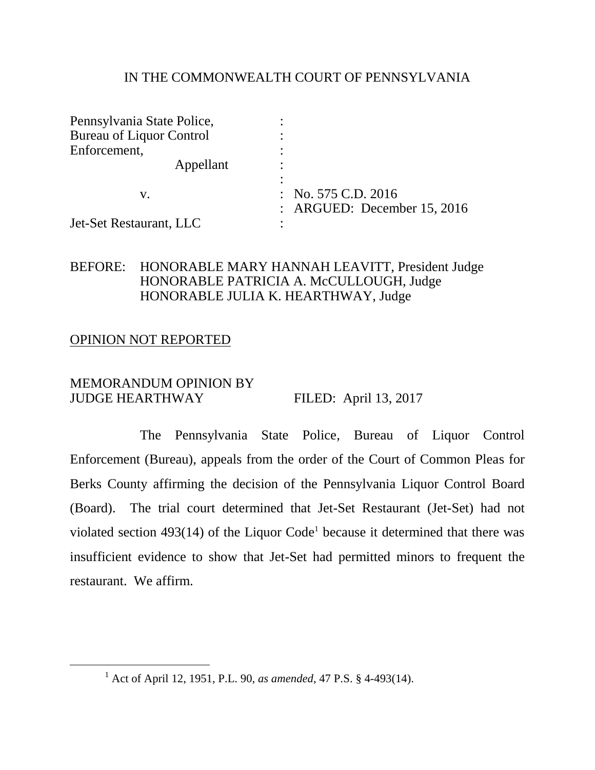### IN THE COMMONWEALTH COURT OF PENNSYLVANIA

| Pennsylvania State Police,      |                                                        |
|---------------------------------|--------------------------------------------------------|
| <b>Bureau of Liquor Control</b> |                                                        |
| Enforcement,                    |                                                        |
| Appellant                       |                                                        |
| V.                              | : No. $575$ C.D. $2016$<br>: ARGUED: December 15, 2016 |
| Jet-Set Restaurant, LLC         |                                                        |

# BEFORE: HONORABLE MARY HANNAH LEAVITT, President Judge HONORABLE PATRICIA A. McCULLOUGH, Judge HONORABLE JULIA K. HEARTHWAY, Judge

### OPINION NOT REPORTED

 $\overline{a}$ 

### MEMORANDUM OPINION BY JUDGE HEARTHWAY FILED: April 13, 2017

The Pennsylvania State Police, Bureau of Liquor Control Enforcement (Bureau), appeals from the order of the Court of Common Pleas for Berks County affirming the decision of the Pennsylvania Liquor Control Board (Board). The trial court determined that Jet-Set Restaurant (Jet-Set) had not violated section  $493(14)$  of the Liquor Code<sup>1</sup> because it determined that there was insufficient evidence to show that Jet-Set had permitted minors to frequent the restaurant. We affirm.

<sup>1</sup> Act of April 12, 1951, P.L. 90, *as amended*, 47 P.S. § 4-493(14).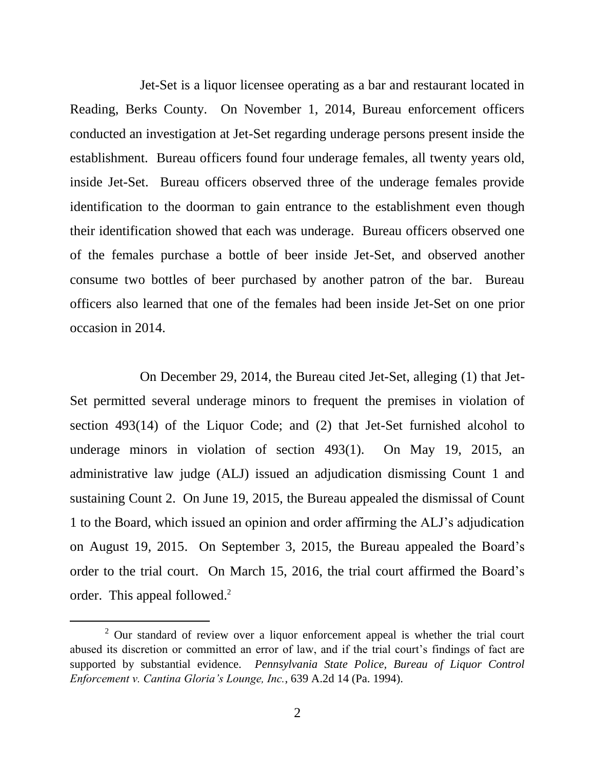Jet-Set is a liquor licensee operating as a bar and restaurant located in Reading, Berks County. On November 1, 2014, Bureau enforcement officers conducted an investigation at Jet-Set regarding underage persons present inside the establishment. Bureau officers found four underage females, all twenty years old, inside Jet-Set. Bureau officers observed three of the underage females provide identification to the doorman to gain entrance to the establishment even though their identification showed that each was underage. Bureau officers observed one of the females purchase a bottle of beer inside Jet-Set, and observed another consume two bottles of beer purchased by another patron of the bar. Bureau officers also learned that one of the females had been inside Jet-Set on one prior occasion in 2014.

On December 29, 2014, the Bureau cited Jet-Set, alleging (1) that Jet-Set permitted several underage minors to frequent the premises in violation of section 493(14) of the Liquor Code; and (2) that Jet-Set furnished alcohol to underage minors in violation of section 493(1). On May 19, 2015, an administrative law judge (ALJ) issued an adjudication dismissing Count 1 and sustaining Count 2. On June 19, 2015, the Bureau appealed the dismissal of Count 1 to the Board, which issued an opinion and order affirming the ALJ's adjudication on August 19, 2015. On September 3, 2015, the Bureau appealed the Board's order to the trial court. On March 15, 2016, the trial court affirmed the Board's order. This appeal followed.<sup>2</sup>

 $2$  Our standard of review over a liquor enforcement appeal is whether the trial court abused its discretion or committed an error of law, and if the trial court's findings of fact are supported by substantial evidence. *Pennsylvania State Police, Bureau of Liquor Control Enforcement v. Cantina Gloria's Lounge, Inc.*, 639 A.2d 14 (Pa. 1994).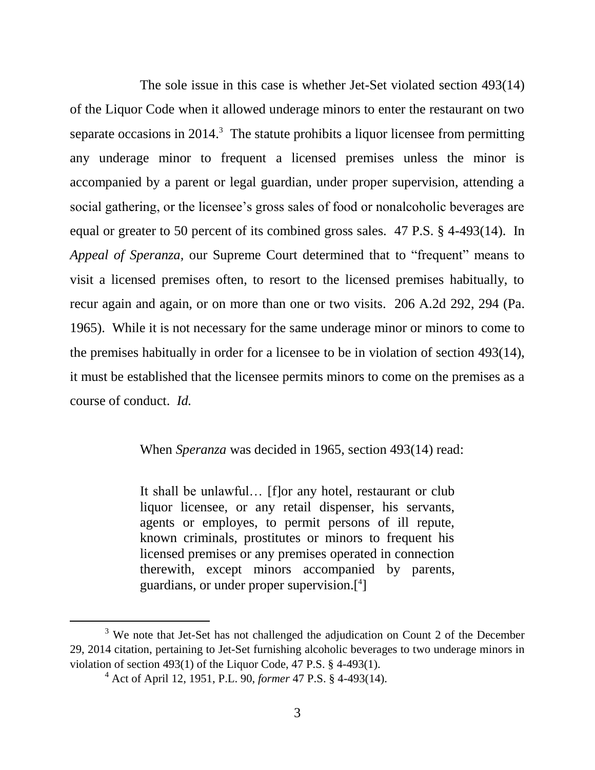The sole issue in this case is whether Jet-Set violated section 493(14) of the Liquor Code when it allowed underage minors to enter the restaurant on two separate occasions in  $2014$ <sup>3</sup>. The statute prohibits a liquor licensee from permitting any underage minor to frequent a licensed premises unless the minor is accompanied by a parent or legal guardian, under proper supervision, attending a social gathering, or the licensee's gross sales of food or nonalcoholic beverages are equal or greater to 50 percent of its combined gross sales. 47 P.S. § 4-493(14). In *Appeal of Speranza,* our Supreme Court determined that to "frequent" means to visit a licensed premises often, to resort to the licensed premises habitually, to recur again and again, or on more than one or two visits. 206 A.2d 292, 294 (Pa. 1965). While it is not necessary for the same underage minor or minors to come to the premises habitually in order for a licensee to be in violation of section 493(14), it must be established that the licensee permits minors to come on the premises as a course of conduct. *Id.*

When *Speranza* was decided in 1965, section 493(14) read:

It shall be unlawful… [f]or any hotel, restaurant or club liquor licensee, or any retail dispenser, his servants, agents or employes, to permit persons of ill repute, known criminals, prostitutes or minors to frequent his licensed premises or any premises operated in connection therewith, except minors accompanied by parents, guardians, or under proper supervision.[ 4 ]

<sup>&</sup>lt;sup>3</sup> We note that Jet-Set has not challenged the adjudication on Count 2 of the December 29, 2014 citation, pertaining to Jet-Set furnishing alcoholic beverages to two underage minors in violation of section 493(1) of the Liquor Code, 47 P.S. § 4-493(1).

<sup>4</sup> Act of April 12, 1951, P.L. 90, *former* 47 P.S. § 4-493(14).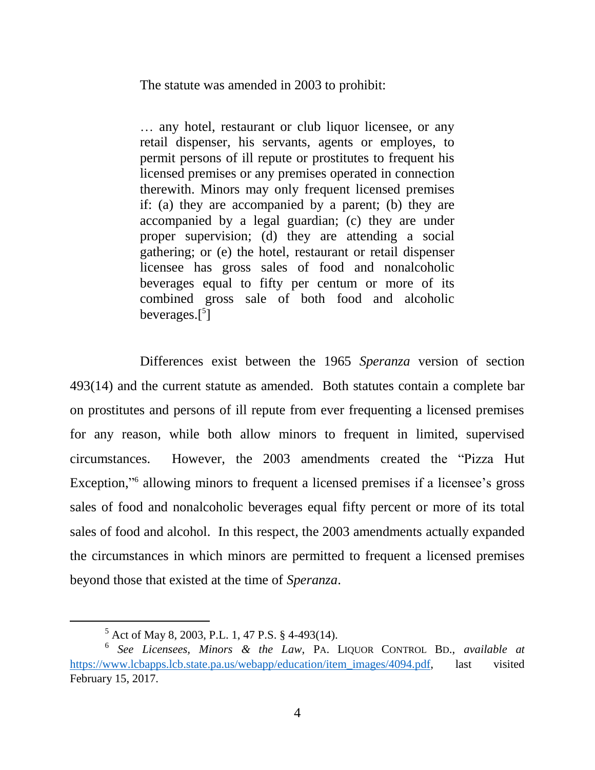The statute was amended in 2003 to prohibit:

… any hotel, restaurant or club liquor licensee, or any retail dispenser, his servants, agents or employes, to permit persons of ill repute or prostitutes to frequent his licensed premises or any premises operated in connection therewith. Minors may only frequent licensed premises if: (a) they are accompanied by a parent; (b) they are accompanied by a legal guardian; (c) they are under proper supervision; (d) they are attending a social gathering; or (e) the hotel, restaurant or retail dispenser licensee has gross sales of food and nonalcoholic beverages equal to fifty per centum or more of its combined gross sale of both food and alcoholic beverages.[ 5 ]

Differences exist between the 1965 *Speranza* version of section 493(14) and the current statute as amended. Both statutes contain a complete bar on prostitutes and persons of ill repute from ever frequenting a licensed premises for any reason, while both allow minors to frequent in limited, supervised circumstances. However, the 2003 amendments created the "Pizza Hut Exception,"<sup>6</sup> allowing minors to frequent a licensed premises if a licensee's gross sales of food and nonalcoholic beverages equal fifty percent or more of its total sales of food and alcohol. In this respect, the 2003 amendments actually expanded the circumstances in which minors are permitted to frequent a licensed premises beyond those that existed at the time of *Speranza*.

<sup>5</sup> Act of May 8, 2003, P.L. 1, 47 P.S. § 4-493(14).

<sup>6</sup> *See Licensees, Minors & the Law*, PA. LIQUOR CONTROL BD., *available at* [https://www.lcbapps.lcb.state.pa.us/webapp/education/item\\_images/4094.pdf,](https://www.lcbapps.lcb.state.pa.us/webapp/education/item_images/4094.pdf) last visited February 15, 2017.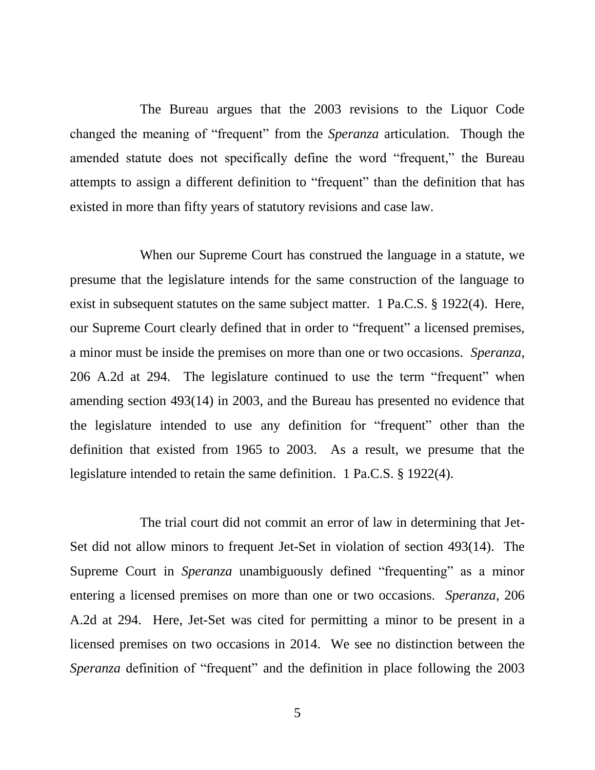The Bureau argues that the 2003 revisions to the Liquor Code changed the meaning of "frequent" from the *Speranza* articulation. Though the amended statute does not specifically define the word "frequent," the Bureau attempts to assign a different definition to "frequent" than the definition that has existed in more than fifty years of statutory revisions and case law.

When our Supreme Court has construed the language in a statute, we presume that the legislature intends for the same construction of the language to exist in subsequent statutes on the same subject matter. 1 Pa.C.S. § 1922(4). Here, our Supreme Court clearly defined that in order to "frequent" a licensed premises, a minor must be inside the premises on more than one or two occasions. *Speranza*, 206 A.2d at 294. The legislature continued to use the term "frequent" when amending section 493(14) in 2003, and the Bureau has presented no evidence that the legislature intended to use any definition for "frequent" other than the definition that existed from 1965 to 2003. As a result, we presume that the legislature intended to retain the same definition. 1 Pa.C.S. § 1922(4).

The trial court did not commit an error of law in determining that Jet-Set did not allow minors to frequent Jet-Set in violation of section 493(14). The Supreme Court in *Speranza* unambiguously defined "frequenting" as a minor entering a licensed premises on more than one or two occasions. *Speranza*, 206 A.2d at 294. Here, Jet-Set was cited for permitting a minor to be present in a licensed premises on two occasions in 2014. We see no distinction between the *Speranza* definition of "frequent" and the definition in place following the 2003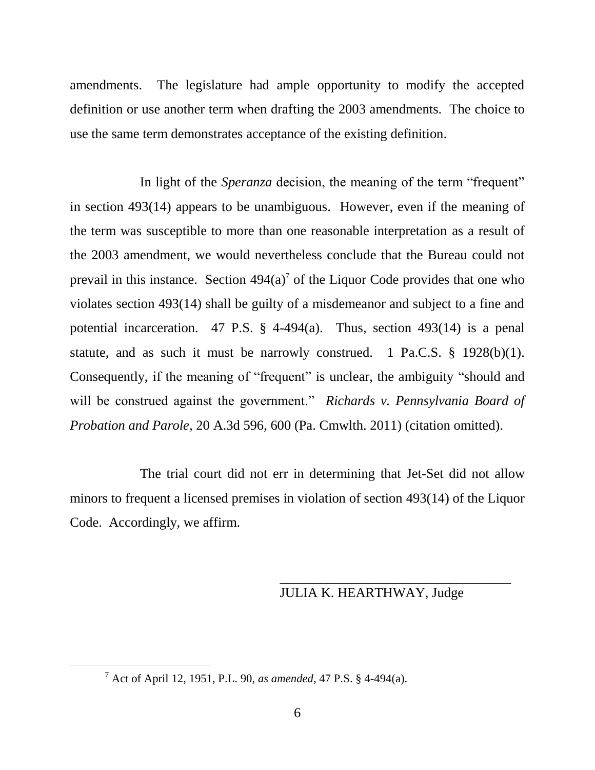amendments. The legislature had ample opportunity to modify the accepted definition or use another term when drafting the 2003 amendments. The choice to use the same term demonstrates acceptance of the existing definition.

In light of the *Speranza* decision, the meaning of the term "frequent" in section 493(14) appears to be unambiguous. However, even if the meaning of the term was susceptible to more than one reasonable interpretation as a result of the 2003 amendment, we would nevertheless conclude that the Bureau could not prevail in this instance. Section  $494(a)$ <sup>7</sup> of the Liquor Code provides that one who violates section 493(14) shall be guilty of a misdemeanor and subject to a fine and potential incarceration. 47 P.S.  $\S$  4-494(a). Thus, section 493(14) is a penal statute, and as such it must be narrowly construed. 1 Pa.C.S.  $\S$  1928(b)(1). Consequently, if the meaning of "frequent" is unclear, the ambiguity "should and will be construed against the government." *Richards v. Pennsylvania Board of Probation and Parole,* 20 A.3d 596, 600 (Pa. Cmwlth. 2011) (citation omitted).

The trial court did not err in determining that Jet-Set did not allow minors to frequent a licensed premises in violation of section 493(14) of the Liquor Code. Accordingly, we affirm.

# JULIA K. HEARTHWAY, Judge

\_\_\_\_\_\_\_\_\_\_\_\_\_\_\_\_\_\_\_\_\_\_\_\_\_\_\_\_\_\_\_\_\_\_

<sup>7</sup> Act of April 12, 1951, P.L. 90, *as amended*, 47 P.S. § 4-494(a).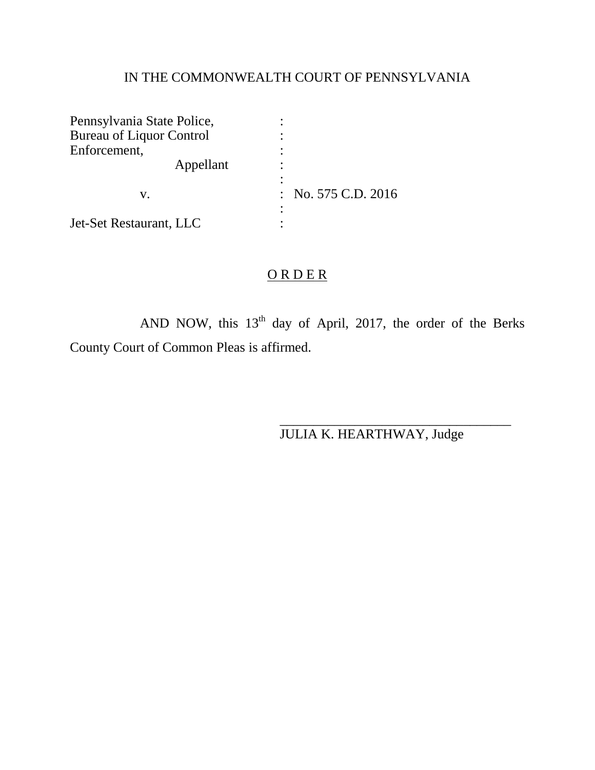# IN THE COMMONWEALTH COURT OF PENNSYLVANIA

| Pennsylvania State Police,      |                         |
|---------------------------------|-------------------------|
| <b>Bureau of Liquor Control</b> |                         |
| Enforcement,                    |                         |
| Appellant                       |                         |
| V.                              | : No. $575$ C.D. $2016$ |
| Jet-Set Restaurant, LLC         |                         |

# ORDER

AND NOW, this  $13<sup>th</sup>$  day of April, 2017, the order of the Berks County Court of Common Pleas is affirmed.

JULIA K. HEARTHWAY, Judge

\_\_\_\_\_\_\_\_\_\_\_\_\_\_\_\_\_\_\_\_\_\_\_\_\_\_\_\_\_\_\_\_\_\_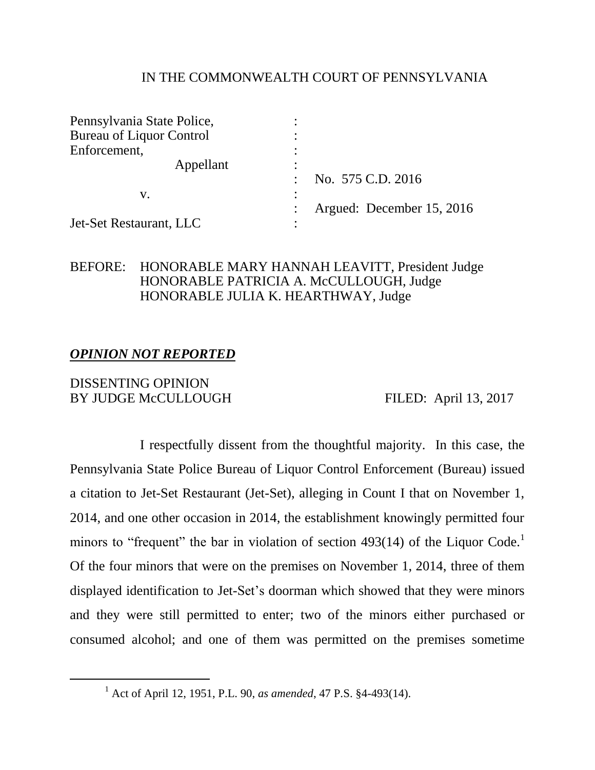### IN THE COMMONWEALTH COURT OF PENNSYLVANIA

| Pennsylvania State Police,      |                           |
|---------------------------------|---------------------------|
| <b>Bureau of Liquor Control</b> |                           |
| Enforcement,                    |                           |
| Appellant                       |                           |
|                                 | No. 575 C.D. 2016         |
| V.                              |                           |
|                                 | Argued: December 15, 2016 |
| Jet-Set Restaurant, LLC         |                           |

# BEFORE: HONORABLE MARY HANNAH LEAVITT, President Judge HONORABLE PATRICIA A. McCULLOUGH, Judge HONORABLE JULIA K. HEARTHWAY, Judge

# *OPINION NOT REPORTED*

### DISSENTING OPINION BY JUDGE McCULLOUGH FILED: April 13, 2017

 $\overline{a}$ 

I respectfully dissent from the thoughtful majority. In this case, the Pennsylvania State Police Bureau of Liquor Control Enforcement (Bureau) issued a citation to Jet-Set Restaurant (Jet-Set), alleging in Count I that on November 1, 2014, and one other occasion in 2014, the establishment knowingly permitted four minors to "frequent" the bar in violation of section 493(14) of the Liquor Code.<sup>1</sup> Of the four minors that were on the premises on November 1, 2014, three of them displayed identification to Jet-Set's doorman which showed that they were minors and they were still permitted to enter; two of the minors either purchased or consumed alcohol; and one of them was permitted on the premises sometime

<sup>1</sup> Act of April 12, 1951, P.L. 90, *as amended*, 47 P.S. §4-493(14).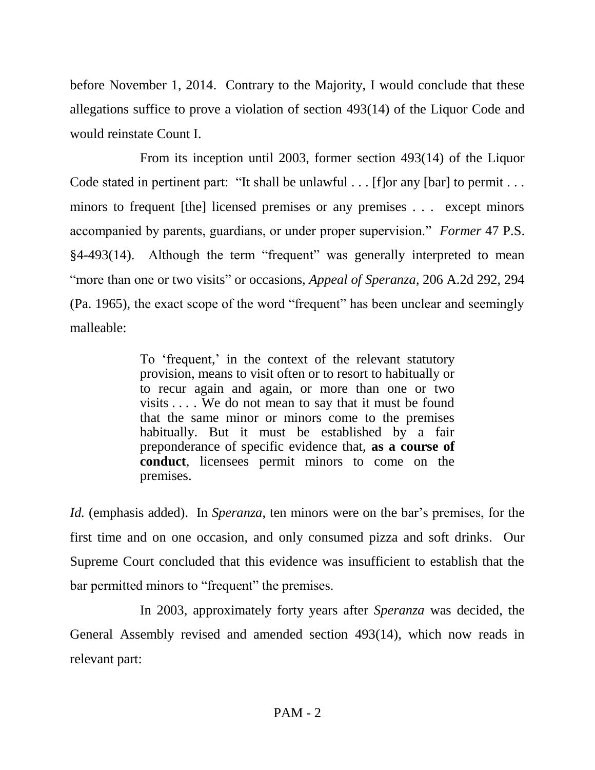before November 1, 2014. Contrary to the Majority, I would conclude that these allegations suffice to prove a violation of section 493(14) of the Liquor Code and would reinstate Count I.

From its inception until 2003, former section 493(14) of the Liquor Code stated in pertinent part: "It shall be unlawful . . . [f]or any [bar] to permit . . . minors to frequent [the] licensed premises or any premises . . . except minors accompanied by parents, guardians, or under proper supervision." *Former* 47 P.S. §4-493(14). Although the term "frequent" was generally interpreted to mean "more than one or two visits" or occasions, *Appeal of Speranza*, 206 A.2d 292, 294 (Pa. 1965), the exact scope of the word "frequent" has been unclear and seemingly malleable:

> To 'frequent,' in the context of the relevant statutory provision, means to visit often or to resort to habitually or to recur again and again, or more than one or two visits . . . . We do not mean to say that it must be found that the same minor or minors come to the premises habitually. But it must be established by a fair preponderance of specific evidence that, **as a course of conduct**, licensees permit minors to come on the premises.

*Id.* (emphasis added).In *Speranza*, ten minors were on the bar's premises, for the first time and on one occasion, and only consumed pizza and soft drinks. Our Supreme Court concluded that this evidence was insufficient to establish that the bar permitted minors to "frequent" the premises.

In 2003, approximately forty years after *Speranza* was decided, the General Assembly revised and amended section 493(14), which now reads in relevant part: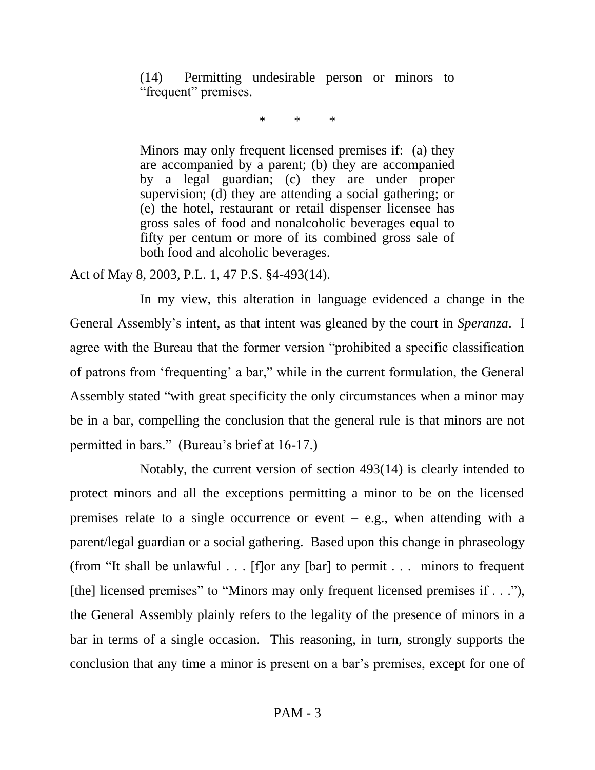(14) Permitting undesirable person or minors to "frequent" premises.

\* \* \*

Minors may only frequent licensed premises if: (a) they are accompanied by a parent; (b) they are accompanied by a legal guardian; (c) they are under proper supervision; (d) they are attending a social gathering; or (e) the hotel, restaurant or retail dispenser licensee has gross sales of food and nonalcoholic beverages equal to fifty per centum or more of its combined gross sale of both food and alcoholic beverages.

Act of May 8, 2003, P.L. 1, 47 P.S. §4-493(14).

In my view, this alteration in language evidenced a change in the General Assembly's intent, as that intent was gleaned by the court in *Speranza*. I agree with the Bureau that the former version "prohibited a specific classification of patrons from 'frequenting' a bar," while in the current formulation, the General Assembly stated "with great specificity the only circumstances when a minor may be in a bar, compelling the conclusion that the general rule is that minors are not permitted in bars." (Bureau's brief at 16-17.)

Notably, the current version of section 493(14) is clearly intended to protect minors and all the exceptions permitting a minor to be on the licensed premises relate to a single occurrence or event  $-$  e.g., when attending with a parent/legal guardian or a social gathering. Based upon this change in phraseology (from "It shall be unlawful . . . [f]or any [bar] to permit . . . minors to frequent [the] licensed premises" to "Minors may only frequent licensed premises if . . ."), the General Assembly plainly refers to the legality of the presence of minors in a bar in terms of a single occasion. This reasoning, in turn, strongly supports the conclusion that any time a minor is present on a bar's premises, except for one of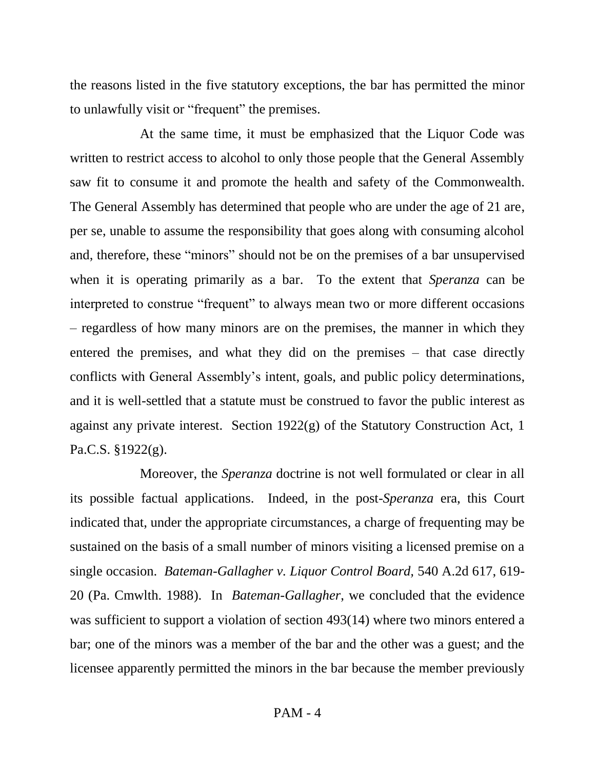the reasons listed in the five statutory exceptions, the bar has permitted the minor to unlawfully visit or "frequent" the premises.

At the same time, it must be emphasized that the Liquor Code was written to restrict access to alcohol to only those people that the General Assembly saw fit to consume it and promote the health and safety of the Commonwealth. The General Assembly has determined that people who are under the age of 21 are, per se, unable to assume the responsibility that goes along with consuming alcohol and, therefore, these "minors" should not be on the premises of a bar unsupervised when it is operating primarily as a bar. To the extent that *Speranza* can be interpreted to construe "frequent" to always mean two or more different occasions – regardless of how many minors are on the premises, the manner in which they entered the premises, and what they did on the premises – that case directly conflicts with General Assembly's intent, goals, and public policy determinations, and it is well-settled that a statute must be construed to favor the public interest as against any private interest. Section 1922(g) of the Statutory Construction Act, 1 Pa.C.S. §1922(g).

Moreover, the *Speranza* doctrine is not well formulated or clear in all its possible factual applications. Indeed, in the post-*Speranza* era, this Court indicated that, under the appropriate circumstances, a charge of frequenting may be sustained on the basis of a small number of minors visiting a licensed premise on a single occasion. *Bateman-Gallagher v. Liquor Control Board,* 540 A.2d 617, 619- 20 (Pa. Cmwlth. 1988). In *Bateman-Gallagher*, we concluded that the evidence was sufficient to support a violation of section 493(14) where two minors entered a bar; one of the minors was a member of the bar and the other was a guest; and the licensee apparently permitted the minors in the bar because the member previously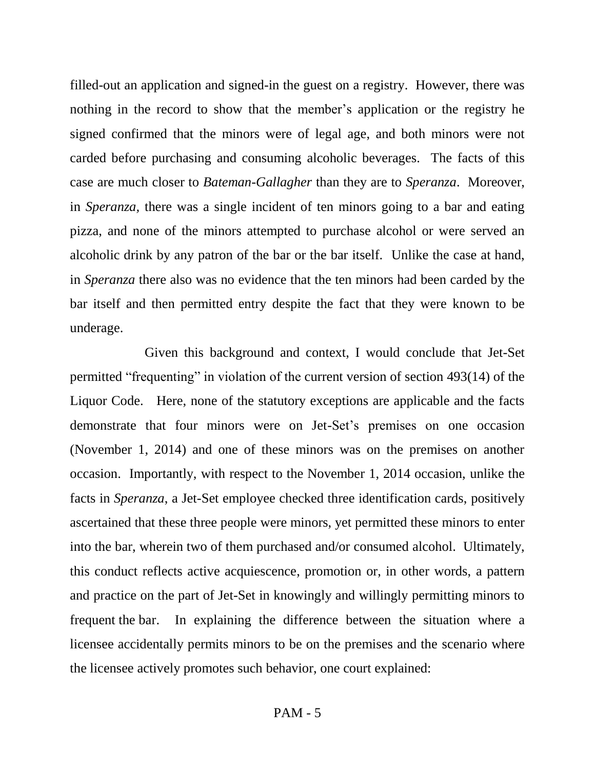filled-out an application and signed-in the guest on a registry. However, there was nothing in the record to show that the member's application or the registry he signed confirmed that the minors were of legal age, and both minors were not carded before purchasing and consuming alcoholic beverages. The facts of this case are much closer to *Bateman-Gallagher* than they are to *Speranza*. Moreover, in *Speranza,* there was a single incident of ten minors going to a bar and eating pizza, and none of the minors attempted to purchase alcohol or were served an alcoholic drink by any patron of the bar or the bar itself. Unlike the case at hand, in *Speranza* there also was no evidence that the ten minors had been carded by the bar itself and then permitted entry despite the fact that they were known to be underage.

 Given this background and context, I would conclude that Jet-Set permitted "frequenting" in violation of the current version of section 493(14) of the Liquor Code. Here, none of the statutory exceptions are applicable and the facts demonstrate that four minors were on Jet-Set's premises on one occasion (November 1, 2014) and one of these minors was on the premises on another occasion. Importantly, with respect to the November 1, 2014 occasion, unlike the facts in *Speranza*, a Jet-Set employee checked three identification cards, positively ascertained that these three people were minors, yet permitted these minors to enter into the bar, wherein two of them purchased and/or consumed alcohol. Ultimately, this conduct reflects active acquiescence, promotion or, in other words, a pattern and practice on the part of Jet-Set in knowingly and willingly permitting minors to frequent the bar. In explaining the difference between the situation where a licensee accidentally permits minors to be on the premises and the scenario where the licensee actively promotes such behavior, one court explained: